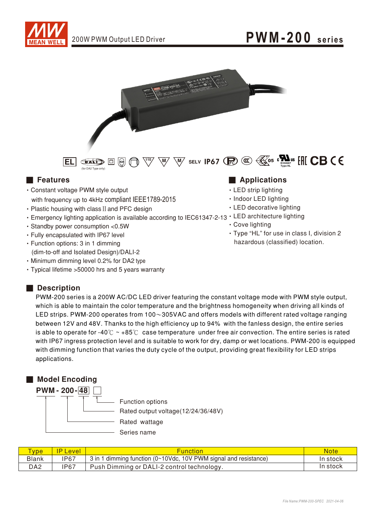



 $\overline{\text{EL}}$  (  $\overline{\text{E}}$  )  $\overline{\text{DE}}$  )  $\overline{\text{DE}}$  )  $\overline{\text{DE}}$  )  $\overline{\text{DE}}$  )  $\overline{\text{DE}}$  )  $\overline{\text{DE}}$  (  $\overline{\text{DE}}$  )  $\overline{\text{DE}}$  )  $\overline{\text{DE}}$  )  $\overline{\text{DE}}$  )  $\overline{\text{DE}}$  )  $\overline{\text{DE}}$  )  $\overline{\text{DE}}$  )  $\overline{\text{DE}}$  )  $\overline{\text{DE}}$  ) (for DA2 Type only)

- Constant voltage PWM style output with frequency up to 4kHz compliant IEEE1789-2015
- Plastic housing with class II and PFC design
- Emergency lighting application is available according to IEC61347-2-13 LED architecture lighting
- Standby power consumption <0.5W
- Fully encapsulated with IP67 level
- Function options: 3 in 1 dimming (dim-to-off and Isolated Design)/DALI-2
- Minimum dimming level 0.2% for DA2 type
- Typical lifetime > 50000 hrs and 5 years warranty

### ■ Features ■ Particular and Particular and Particular and Particular and Particular and Particular and Particular and Particular and Particular and Particular and Particular and Particular and Particular and Particular an

- LED strip lighting
- Indoor LED lighting
- LED decorative lighting
- 
- Cove lighting
- · Type "HL" for use in class I, division 2 hazardous (classified) location.

### Description

PWM-200 series is a 200W AC/DC LED driver featuring the constant voltage mode with PWM style output, which is able to maintain the color temperature and the brightness homogeneity when driving all kinds of LED strips. PWM-200 operates from  $100~305$ VAC and offers models with different rated voltage ranging between 12V and 48V. Thanks to the high efficiency up to 94% with the fanless design, the entire series is able to operate for -40°C  $\sim$  +85°C case temperature under free air convection. The entire series is rated with IP67 ingress protection level and is suitable to work for dry, damp or wet locations. PWM-200 is equipped with dimming function that varies the duty cycle of the output, providing great flexibility for LED strips applications.

### ■ Model Encoding



| <b>Type</b>     | <b>P</b> Level | <b>Function</b>                                                           | <b>Note</b> |
|-----------------|----------------|---------------------------------------------------------------------------|-------------|
| <b>Blank</b>    | <b>IP67</b>    | 3 in 1 dimming function ( $0 \sim 10$ Vdc, 10V PWM signal and resistance) | In stock    |
| DA <sub>2</sub> | IP67           | Push Dimming or DALI-2 control technology.                                | In stock    |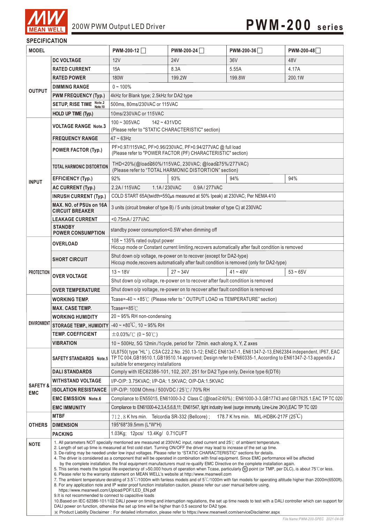

### **SPECIFICATION**

| <b>MODEL</b>                      |                                                                                                                                                                                                                                                                                                                                                                                                                                                                                                                                                                                                                                                                                                                                                                                                                                                                                                                                                                                                                                                                                                                                                                                                                                                                                                                                                                                                                                                                                                                                                                                                                                                                                                                                       | PWM-200-12                                                                                                                                                                                                                                                                               | PWM-200-24                                                                     | PWM-200-36                                                                                                           | PWM-200-48                                                                                                |  |
|-----------------------------------|---------------------------------------------------------------------------------------------------------------------------------------------------------------------------------------------------------------------------------------------------------------------------------------------------------------------------------------------------------------------------------------------------------------------------------------------------------------------------------------------------------------------------------------------------------------------------------------------------------------------------------------------------------------------------------------------------------------------------------------------------------------------------------------------------------------------------------------------------------------------------------------------------------------------------------------------------------------------------------------------------------------------------------------------------------------------------------------------------------------------------------------------------------------------------------------------------------------------------------------------------------------------------------------------------------------------------------------------------------------------------------------------------------------------------------------------------------------------------------------------------------------------------------------------------------------------------------------------------------------------------------------------------------------------------------------------------------------------------------------|------------------------------------------------------------------------------------------------------------------------------------------------------------------------------------------------------------------------------------------------------------------------------------------|--------------------------------------------------------------------------------|----------------------------------------------------------------------------------------------------------------------|-----------------------------------------------------------------------------------------------------------|--|
|                                   | <b>DC VOLTAGE</b>                                                                                                                                                                                                                                                                                                                                                                                                                                                                                                                                                                                                                                                                                                                                                                                                                                                                                                                                                                                                                                                                                                                                                                                                                                                                                                                                                                                                                                                                                                                                                                                                                                                                                                                     | 12V                                                                                                                                                                                                                                                                                      | <b>24V</b>                                                                     | 36V                                                                                                                  | 48V                                                                                                       |  |
| <b>OUTPUT</b>                     | <b>RATED CURRENT</b>                                                                                                                                                                                                                                                                                                                                                                                                                                                                                                                                                                                                                                                                                                                                                                                                                                                                                                                                                                                                                                                                                                                                                                                                                                                                                                                                                                                                                                                                                                                                                                                                                                                                                                                  | 15A                                                                                                                                                                                                                                                                                      | 8.3A                                                                           | 5.55A                                                                                                                | 4.17A                                                                                                     |  |
|                                   | <b>RATED POWER</b>                                                                                                                                                                                                                                                                                                                                                                                                                                                                                                                                                                                                                                                                                                                                                                                                                                                                                                                                                                                                                                                                                                                                                                                                                                                                                                                                                                                                                                                                                                                                                                                                                                                                                                                    | <b>180W</b>                                                                                                                                                                                                                                                                              | 199.2W                                                                         | 199.8W                                                                                                               | 200.1W                                                                                                    |  |
|                                   | <b>DIMMING RANGE</b>                                                                                                                                                                                                                                                                                                                                                                                                                                                                                                                                                                                                                                                                                                                                                                                                                                                                                                                                                                                                                                                                                                                                                                                                                                                                                                                                                                                                                                                                                                                                                                                                                                                                                                                  | $0 - 100\%$                                                                                                                                                                                                                                                                              |                                                                                |                                                                                                                      |                                                                                                           |  |
|                                   | <b>PWM FREQUENCY (Typ.)</b>                                                                                                                                                                                                                                                                                                                                                                                                                                                                                                                                                                                                                                                                                                                                                                                                                                                                                                                                                                                                                                                                                                                                                                                                                                                                                                                                                                                                                                                                                                                                                                                                                                                                                                           | 4kHz for Blank type; 2.5kHz for DA2 type                                                                                                                                                                                                                                                 |                                                                                |                                                                                                                      |                                                                                                           |  |
|                                   | SETUP, RISE TIME Note.2                                                                                                                                                                                                                                                                                                                                                                                                                                                                                                                                                                                                                                                                                                                                                                                                                                                                                                                                                                                                                                                                                                                                                                                                                                                                                                                                                                                                                                                                                                                                                                                                                                                                                                               | 500ms, 80ms/230VAC or 115VAC                                                                                                                                                                                                                                                             |                                                                                |                                                                                                                      |                                                                                                           |  |
|                                   | HOLD UP TIME (Typ.)                                                                                                                                                                                                                                                                                                                                                                                                                                                                                                                                                                                                                                                                                                                                                                                                                                                                                                                                                                                                                                                                                                                                                                                                                                                                                                                                                                                                                                                                                                                                                                                                                                                                                                                   | 10ms/230VAC or 115VAC                                                                                                                                                                                                                                                                    |                                                                                |                                                                                                                      |                                                                                                           |  |
|                                   |                                                                                                                                                                                                                                                                                                                                                                                                                                                                                                                                                                                                                                                                                                                                                                                                                                                                                                                                                                                                                                                                                                                                                                                                                                                                                                                                                                                                                                                                                                                                                                                                                                                                                                                                       | $100 - 305$ VAC<br>$142 - 431VDC$                                                                                                                                                                                                                                                        |                                                                                |                                                                                                                      |                                                                                                           |  |
|                                   | <b>VOLTAGE RANGE Note.3</b>                                                                                                                                                                                                                                                                                                                                                                                                                                                                                                                                                                                                                                                                                                                                                                                                                                                                                                                                                                                                                                                                                                                                                                                                                                                                                                                                                                                                                                                                                                                                                                                                                                                                                                           | (Please refer to "STATIC CHARACTERISTIC" section)                                                                                                                                                                                                                                        |                                                                                |                                                                                                                      |                                                                                                           |  |
|                                   | <b>FREQUENCY RANGE</b>                                                                                                                                                                                                                                                                                                                                                                                                                                                                                                                                                                                                                                                                                                                                                                                                                                                                                                                                                                                                                                                                                                                                                                                                                                                                                                                                                                                                                                                                                                                                                                                                                                                                                                                | $47 \sim 63$ Hz                                                                                                                                                                                                                                                                          |                                                                                |                                                                                                                      |                                                                                                           |  |
|                                   | <b>POWER FACTOR (Typ.)</b>                                                                                                                                                                                                                                                                                                                                                                                                                                                                                                                                                                                                                                                                                                                                                                                                                                                                                                                                                                                                                                                                                                                                                                                                                                                                                                                                                                                                                                                                                                                                                                                                                                                                                                            | PF>0.97/115VAC, PF>0.96/230VAC, PF>0.94/277VAC @ full load<br>(Please refer to "POWER FACTOR (PF) CHARACTERISTIC" section)                                                                                                                                                               |                                                                                |                                                                                                                      |                                                                                                           |  |
|                                   | <b>TOTAL HARMONIC DISTORTION</b>                                                                                                                                                                                                                                                                                                                                                                                                                                                                                                                                                                                                                                                                                                                                                                                                                                                                                                                                                                                                                                                                                                                                                                                                                                                                                                                                                                                                                                                                                                                                                                                                                                                                                                      | THD<20%(@load≧60%/115VAC, 230VAC; @load≧75%/277VAC)<br>(Please refer to "TOTAL HARMONIC DISTORTION" section)                                                                                                                                                                             |                                                                                |                                                                                                                      |                                                                                                           |  |
| <b>INPUT</b>                      | <b>EFFICIENCY (Typ.)</b>                                                                                                                                                                                                                                                                                                                                                                                                                                                                                                                                                                                                                                                                                                                                                                                                                                                                                                                                                                                                                                                                                                                                                                                                                                                                                                                                                                                                                                                                                                                                                                                                                                                                                                              | 92%                                                                                                                                                                                                                                                                                      | 93%                                                                            | 94%                                                                                                                  | 94%                                                                                                       |  |
|                                   | <b>AC CURRENT (Typ.)</b>                                                                                                                                                                                                                                                                                                                                                                                                                                                                                                                                                                                                                                                                                                                                                                                                                                                                                                                                                                                                                                                                                                                                                                                                                                                                                                                                                                                                                                                                                                                                                                                                                                                                                                              | 1.1A / 230 VAC<br>2.2A / 115VAC                                                                                                                                                                                                                                                          | 0.9A/277VAC                                                                    |                                                                                                                      |                                                                                                           |  |
|                                   | <b>INRUSH CURRENT (Typ.)</b>                                                                                                                                                                                                                                                                                                                                                                                                                                                                                                                                                                                                                                                                                                                                                                                                                                                                                                                                                                                                                                                                                                                                                                                                                                                                                                                                                                                                                                                                                                                                                                                                                                                                                                          | COLD START 65A(twidth=550µs measured at 50% Ipeak) at 230VAC; Per NEMA 410                                                                                                                                                                                                               |                                                                                |                                                                                                                      |                                                                                                           |  |
|                                   | MAX. NO. of PSUs on 16A<br><b>CIRCUIT BREAKER</b>                                                                                                                                                                                                                                                                                                                                                                                                                                                                                                                                                                                                                                                                                                                                                                                                                                                                                                                                                                                                                                                                                                                                                                                                                                                                                                                                                                                                                                                                                                                                                                                                                                                                                     | 3 units (circuit breaker of type B) / 5 units (circuit breaker of type C) at 230VAC                                                                                                                                                                                                      |                                                                                |                                                                                                                      |                                                                                                           |  |
|                                   | <b>LEAKAGE CURRENT</b>                                                                                                                                                                                                                                                                                                                                                                                                                                                                                                                                                                                                                                                                                                                                                                                                                                                                                                                                                                                                                                                                                                                                                                                                                                                                                                                                                                                                                                                                                                                                                                                                                                                                                                                | <0.75mA/277VAC                                                                                                                                                                                                                                                                           |                                                                                |                                                                                                                      |                                                                                                           |  |
|                                   | <b>STANDBY</b><br><b>POWER CONSUMPTION</b>                                                                                                                                                                                                                                                                                                                                                                                                                                                                                                                                                                                                                                                                                                                                                                                                                                                                                                                                                                                                                                                                                                                                                                                                                                                                                                                                                                                                                                                                                                                                                                                                                                                                                            | standby power consumption<0.5W when dimming off<br>108 ~ 135% rated output power                                                                                                                                                                                                         |                                                                                |                                                                                                                      |                                                                                                           |  |
|                                   | <b>OVERLOAD</b>                                                                                                                                                                                                                                                                                                                                                                                                                                                                                                                                                                                                                                                                                                                                                                                                                                                                                                                                                                                                                                                                                                                                                                                                                                                                                                                                                                                                                                                                                                                                                                                                                                                                                                                       | Hiccup mode or Constant current limiting, recovers automatically after fault condition is removed                                                                                                                                                                                        |                                                                                |                                                                                                                      |                                                                                                           |  |
|                                   | <b>SHORT CIRCUIT</b>                                                                                                                                                                                                                                                                                                                                                                                                                                                                                                                                                                                                                                                                                                                                                                                                                                                                                                                                                                                                                                                                                                                                                                                                                                                                                                                                                                                                                                                                                                                                                                                                                                                                                                                  | Shut down o/p voltage, re-power on to recover (except for DA2-type)<br>Hiccup mode, recovers automatically after fault condition is removed (only for DA2-type)                                                                                                                          |                                                                                |                                                                                                                      |                                                                                                           |  |
| <b>PROTECTION</b>                 | <b>OVER VOLTAGE</b>                                                                                                                                                                                                                                                                                                                                                                                                                                                                                                                                                                                                                                                                                                                                                                                                                                                                                                                                                                                                                                                                                                                                                                                                                                                                                                                                                                                                                                                                                                                                                                                                                                                                                                                   | $13 - 18V$                                                                                                                                                                                                                                                                               | $27 - 34V$                                                                     | $41 - 49V$                                                                                                           | $53 - 65V$                                                                                                |  |
|                                   |                                                                                                                                                                                                                                                                                                                                                                                                                                                                                                                                                                                                                                                                                                                                                                                                                                                                                                                                                                                                                                                                                                                                                                                                                                                                                                                                                                                                                                                                                                                                                                                                                                                                                                                                       |                                                                                                                                                                                                                                                                                          | Shut down o/p voltage, re-power on to recover after fault condition is removed |                                                                                                                      |                                                                                                           |  |
|                                   | <b>OVER TEMPERATURE</b>                                                                                                                                                                                                                                                                                                                                                                                                                                                                                                                                                                                                                                                                                                                                                                                                                                                                                                                                                                                                                                                                                                                                                                                                                                                                                                                                                                                                                                                                                                                                                                                                                                                                                                               | Shut down o/p voltage, re-power on to recover after fault condition is removed                                                                                                                                                                                                           |                                                                                |                                                                                                                      |                                                                                                           |  |
|                                   | <b>WORKING TEMP.</b>                                                                                                                                                                                                                                                                                                                                                                                                                                                                                                                                                                                                                                                                                                                                                                                                                                                                                                                                                                                                                                                                                                                                                                                                                                                                                                                                                                                                                                                                                                                                                                                                                                                                                                                  |                                                                                                                                                                                                                                                                                          | Tcase=-40 ~ +85℃ (Please refer to "OUTPUT LOAD vs TEMPERATURE" section)        |                                                                                                                      |                                                                                                           |  |
|                                   | <b>MAX. CASE TEMP.</b>                                                                                                                                                                                                                                                                                                                                                                                                                                                                                                                                                                                                                                                                                                                                                                                                                                                                                                                                                                                                                                                                                                                                                                                                                                                                                                                                                                                                                                                                                                                                                                                                                                                                                                                | Tcase= $+85^{\circ}$ C                                                                                                                                                                                                                                                                   |                                                                                |                                                                                                                      |                                                                                                           |  |
|                                   | <b>WORKING HUMIDITY</b>                                                                                                                                                                                                                                                                                                                                                                                                                                                                                                                                                                                                                                                                                                                                                                                                                                                                                                                                                                                                                                                                                                                                                                                                                                                                                                                                                                                                                                                                                                                                                                                                                                                                                                               | $20 \sim 95\%$ RH non-condensing                                                                                                                                                                                                                                                         |                                                                                |                                                                                                                      |                                                                                                           |  |
|                                   |                                                                                                                                                                                                                                                                                                                                                                                                                                                                                                                                                                                                                                                                                                                                                                                                                                                                                                                                                                                                                                                                                                                                                                                                                                                                                                                                                                                                                                                                                                                                                                                                                                                                                                                                       | ENVIRONMENT STORAGE TEMP., HUMIDITY $-40 \sim +80^{\circ}$ C, 10 ~ 95% RH                                                                                                                                                                                                                |                                                                                |                                                                                                                      |                                                                                                           |  |
|                                   | <b>TEMP. COEFFICIENT</b>                                                                                                                                                                                                                                                                                                                                                                                                                                                                                                                                                                                                                                                                                                                                                                                                                                                                                                                                                                                                                                                                                                                                                                                                                                                                                                                                                                                                                                                                                                                                                                                                                                                                                                              | $\pm 0.03\%$ (°C (0 ~ 50°C)                                                                                                                                                                                                                                                              |                                                                                |                                                                                                                      |                                                                                                           |  |
|                                   | <b>VIBRATION</b>                                                                                                                                                                                                                                                                                                                                                                                                                                                                                                                                                                                                                                                                                                                                                                                                                                                                                                                                                                                                                                                                                                                                                                                                                                                                                                                                                                                                                                                                                                                                                                                                                                                                                                                      | 10 ~ 500Hz, 5G 12min./1cycle, period for 72min. each along X, Y, Z axes                                                                                                                                                                                                                  |                                                                                |                                                                                                                      |                                                                                                           |  |
|                                   |                                                                                                                                                                                                                                                                                                                                                                                                                                                                                                                                                                                                                                                                                                                                                                                                                                                                                                                                                                                                                                                                                                                                                                                                                                                                                                                                                                                                                                                                                                                                                                                                                                                                                                                                       | UL8750(type "HL"), CSA C22.2 No. 250.13-12; ENEC EN61347-1, EN61347-2-13, EN62384 independent, IP67, EAC<br>SAFETY STANDARDS Note.5   TP TC 004, GB19510.1, GB19510.14 approved; Design refer to EN60335-1, According to EN61347-2-13 appendix J<br>suitable for emergency installations |                                                                                |                                                                                                                      |                                                                                                           |  |
|                                   | <b>DALI STANDARDS</b>                                                                                                                                                                                                                                                                                                                                                                                                                                                                                                                                                                                                                                                                                                                                                                                                                                                                                                                                                                                                                                                                                                                                                                                                                                                                                                                                                                                                                                                                                                                                                                                                                                                                                                                 |                                                                                                                                                                                                                                                                                          | Comply with IEC62386-101, 102, 207, 251 for DA2 Type only, Device type 6(DT6)  |                                                                                                                      |                                                                                                           |  |
|                                   | <b>WITHSTAND VOLTAGE</b>                                                                                                                                                                                                                                                                                                                                                                                                                                                                                                                                                                                                                                                                                                                                                                                                                                                                                                                                                                                                                                                                                                                                                                                                                                                                                                                                                                                                                                                                                                                                                                                                                                                                                                              | I/P-O/P: 3.75KVAC; I/P-DA: 1.5KVAC; O/P-DA:1.5KVAC                                                                                                                                                                                                                                       |                                                                                |                                                                                                                      |                                                                                                           |  |
| <b>SAFETY &amp;</b><br><b>EMC</b> | <b>ISOLATION RESISTANCE</b>                                                                                                                                                                                                                                                                                                                                                                                                                                                                                                                                                                                                                                                                                                                                                                                                                                                                                                                                                                                                                                                                                                                                                                                                                                                                                                                                                                                                                                                                                                                                                                                                                                                                                                           | I/P-O/P: 100M Ohms / 500VDC / 25℃ / 70% RH                                                                                                                                                                                                                                               |                                                                                |                                                                                                                      |                                                                                                           |  |
|                                   | <b>EMC EMISSION Note.6</b>                                                                                                                                                                                                                                                                                                                                                                                                                                                                                                                                                                                                                                                                                                                                                                                                                                                                                                                                                                                                                                                                                                                                                                                                                                                                                                                                                                                                                                                                                                                                                                                                                                                                                                            |                                                                                                                                                                                                                                                                                          |                                                                                |                                                                                                                      | Compliance to EN55015, EN61000-3-2 Class C (@load≧60%); EN61000-3-3, GB17743 and GB17625.1, EAC TP TC 020 |  |
|                                   | <b>EMC IMMUNITY</b>                                                                                                                                                                                                                                                                                                                                                                                                                                                                                                                                                                                                                                                                                                                                                                                                                                                                                                                                                                                                                                                                                                                                                                                                                                                                                                                                                                                                                                                                                                                                                                                                                                                                                                                   |                                                                                                                                                                                                                                                                                          |                                                                                | Compliance to EN61000-4-2,3,4,5,6,8,11; EN61547, light industry level (surge immunity, Line-Line 2KV), EAC TP TC 020 |                                                                                                           |  |
|                                   | <b>MTBF</b>                                                                                                                                                                                                                                                                                                                                                                                                                                                                                                                                                                                                                                                                                                                                                                                                                                                                                                                                                                                                                                                                                                                                                                                                                                                                                                                                                                                                                                                                                                                                                                                                                                                                                                                           | 712, 8 K hrs min. Telcordia SR-332 (Bellcore);                                                                                                                                                                                                                                           |                                                                                | 178.7 K hrs min. MIL-HDBK-217F (25°C)                                                                                |                                                                                                           |  |
| <b>OTHERS</b>                     | <b>DIMENSION</b>                                                                                                                                                                                                                                                                                                                                                                                                                                                                                                                                                                                                                                                                                                                                                                                                                                                                                                                                                                                                                                                                                                                                                                                                                                                                                                                                                                                                                                                                                                                                                                                                                                                                                                                      | 195*68*39.5mm (L*W*H)                                                                                                                                                                                                                                                                    |                                                                                |                                                                                                                      |                                                                                                           |  |
|                                   | <b>PACKING</b>                                                                                                                                                                                                                                                                                                                                                                                                                                                                                                                                                                                                                                                                                                                                                                                                                                                                                                                                                                                                                                                                                                                                                                                                                                                                                                                                                                                                                                                                                                                                                                                                                                                                                                                        | 1.03Kg; 12pcs/ 13.4Kg/ 0.71CUFT                                                                                                                                                                                                                                                          |                                                                                |                                                                                                                      |                                                                                                           |  |
| <b>NOTE</b>                       | 1. All parameters NOT specially mentioned are measured at 230VAC input, rated current and 25°C of ambient temperature.<br>2. Length of set up time is measured at first cold start. Turning ON/OFF the driver may lead to increase of the set up time.<br>3. De-rating may be needed under low input voltages. Please refer to "STATIC CHARACTERISTIC" sections for details.<br>4. The driver is considered as a component that will be operated in combination with final equipment. Since EMC performance will be affected<br>by the complete installation, the final equipment manufacturers must re-qualify EMC Directive on the complete installation again.<br>5. This series meets the typical life expectancy of >50,000 hours of operation when Tcase, particularly (tc) point (or TMP, per DLC), is about 75°C or less.<br>6. Please refer to the warranty statement on MEAN WELL's website at http://www.meanwell.com<br>7. The ambient temperature derating of 3.5°C/1000m with fanless models and of 5°C/1000m with fan models for operating altitude higher than 2000m(6500ft).<br>8. For any application note and IP water proof function installation caution, please refer our user manual before using.<br>https://www.meanwell.com/Upload/PDF/LED EN.pdf<br>9. It is not recommended to connect to capacitive loads<br>10. Based on IEC 62386-101/102 DALI power on timing and interruption regulations, the set up time needs to test with a DALI controller which can support for<br>DALI power on function, otherwise the set up time will be higher than 0.5 second for DA2 type.<br>X Product Liability Disclaimer: For detailed information, please refer to https://www.meanwell.com/serviceDisclaimer.aspx |                                                                                                                                                                                                                                                                                          |                                                                                |                                                                                                                      |                                                                                                           |  |

*File Name:PWM-200-SPEC 2021-04-06*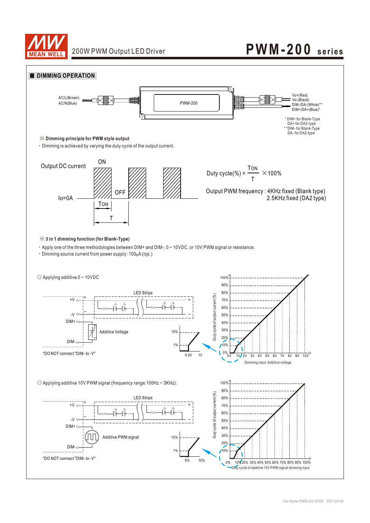

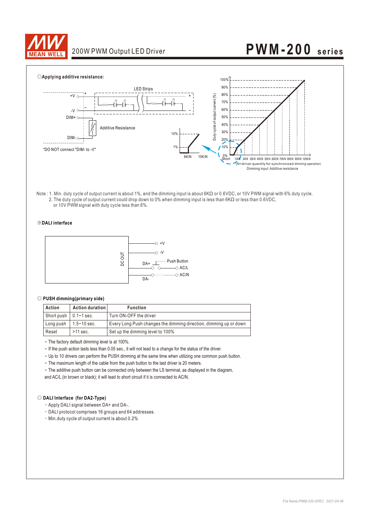



Note : 1. Min. duty cycle of output current is about 1%, and the dimming input is about 6KΩ or 0.6VDC, or 10V PWM signal with 6% duty cycle. 2. The duty cycle of output current could drop down to 0% when dimming input is less than 6KΩ or less than 0.6VDC, or 10V PWM signal with duty cycle less than 6%.

#### ※**DALI interface**



#### ◎ **PUSH dimming(primary side)**

| Action                        | Action duration | <b>Function</b>                                                   |
|-------------------------------|-----------------|-------------------------------------------------------------------|
| Short push $\vert$ 0.1~1 sec. |                 | Turn ON-OFF the driver                                            |
| Long push                     | 1.5∼10 sec.     | Every Long Push changes the dimming direction, dimming up or down |
| Reset                         | $>11$ sec.      | Set up the dimming level to 100%                                  |

‧The factory default dimming level is at 100%.

‧If the push action lasts less than 0.05 sec., it will not lead to a change for the status of the driver.

‧Up to 10 drivers can perform the PUSH dimming at the same time when utilizing one common push button.

‧The maximum length of the cable from the push button to the last driver is 20 meters.

‧The additive push button can be connected only between the LS terminal, as displayed in the diagram, and AC/L (in brown or black); it will lead to short circuit if it is connected to AC/N.

#### ◎ **DALI Interface (for DA2-Type)**

‧Apply DALI signal between DA+ and DA-.

‧DALI protocol comprises 16 groups and 64 addresses.

‧Min.duty cycle of output current is about 0.2%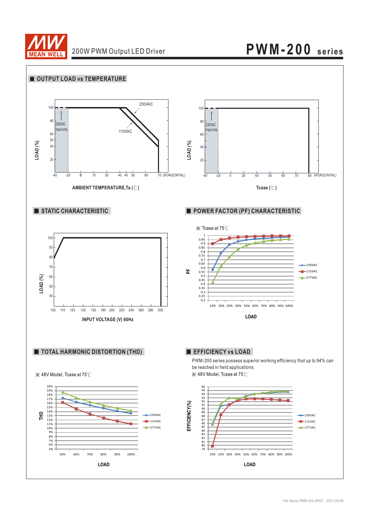

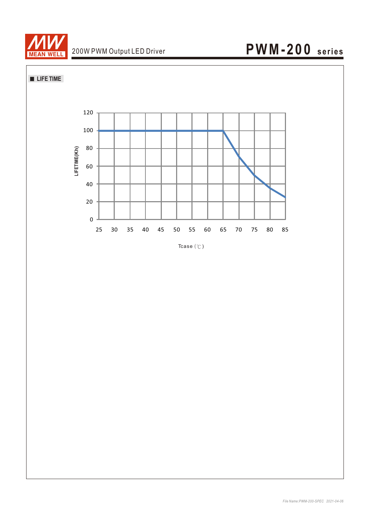

**LIFE TIME** 



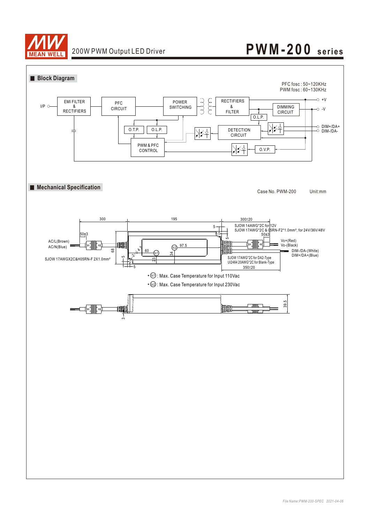